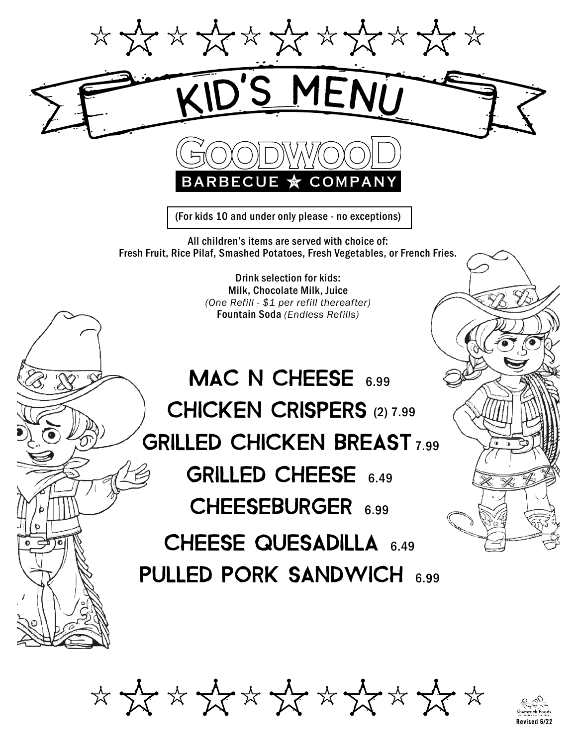

COMPAN

(For kids 10 and under only please - no exceptions)

All children's items are served with choice of: Fresh Fruit, Rice Pilaf, Smashed Potatoes, Fresh Vegetables, or French Fries.

> Drink selection for kids: Milk, Chocolate Milk, Juice *(One Refill - \$1 per refill thereafter)* Fountain Soda *(Endless Refills)*

## MAC N CHEESE 6.99 CHICKEN CRISPERS (2) 7.99 **GRILLED CHICKEN BREAST 7.99** GRILLED CHEESE 6.49 CHEESEBURGER 6.99 CHEESE QUESADILLA 6.49

PULLED PORK SANDWICH 6.99

\* \* \* \* \* \* \* \* \* \* \* \*

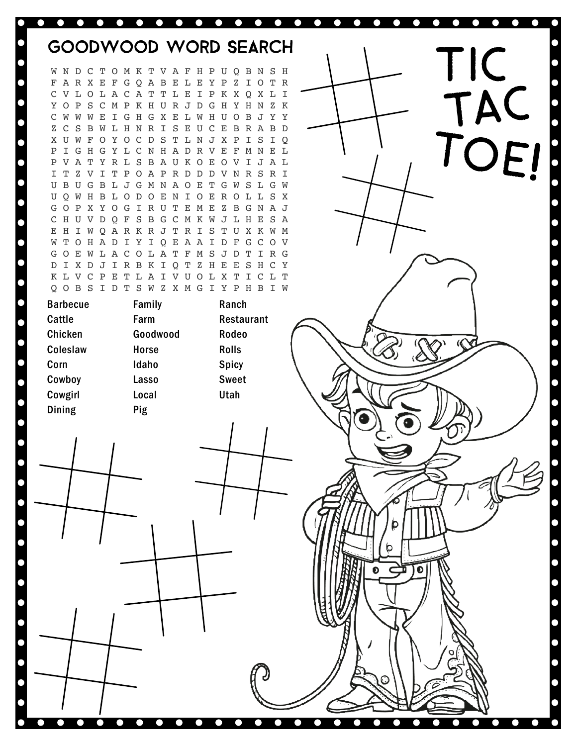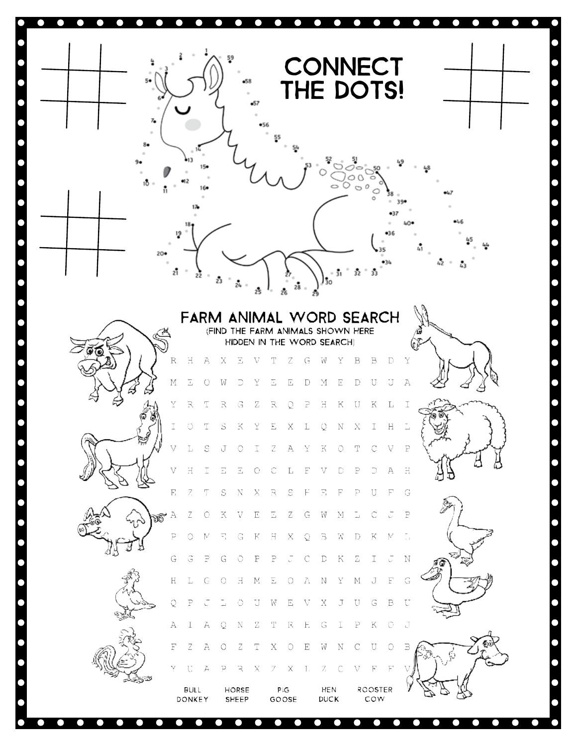